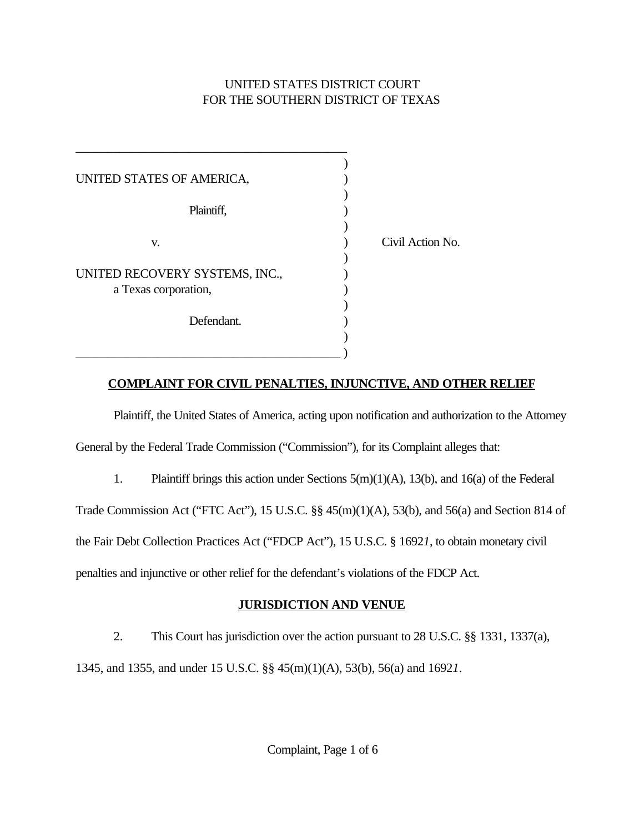# UNITED STATES DISTRICT COURT FOR THE SOUTHERN DISTRICT OF TEXAS

| UNITED STATES OF AMERICA,      |                  |
|--------------------------------|------------------|
| Plaintiff,                     |                  |
| V.                             | Civil Action No. |
| UNITED RECOVERY SYSTEMS, INC., |                  |
| a Texas corporation,           |                  |
| Defendant.                     |                  |
|                                |                  |

## **COMPLAINT FOR CIVIL PENALTIES, INJUNCTIVE, AND OTHER RELIEF**

Plaintiff, the United States of America, acting upon notification and authorization to the Attorney General by the Federal Trade Commission ("Commission"), for its Complaint alleges that:

1. Plaintiff brings this action under Sections 5(m)(1)(A), 13(b), and 16(a) of the Federal

Trade Commission Act ("FTC Act"), 15 U.S.C. §§ 45(m)(1)(A), 53(b), and 56(a) and Section 814 of the Fair Debt Collection Practices Act ("FDCP Act"), 15 U.S.C. § 1692*1*, to obtain monetary civil penalties and injunctive or other relief for the defendant's violations of the FDCP Act.

## **JURISDICTION AND VENUE**

2. This Court has jurisdiction over the action pursuant to 28 U.S.C. §§ 1331, 1337(a),

1345, and 1355, and under 15 U.S.C. §§ 45(m)(1)(A), 53(b), 56(a) and 1692*1*.

Complaint, Page 1 of 6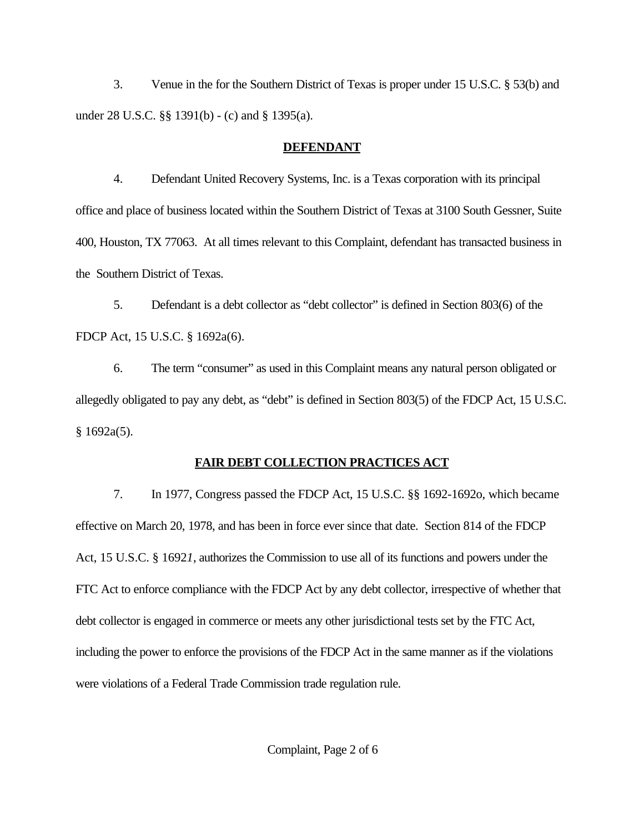3. Venue in the for the Southern District of Texas is proper under 15 U.S.C. § 53(b) and under 28 U.S.C. §§ 1391(b) - (c) and § 1395(a).

### **DEFENDANT**

4. Defendant United Recovery Systems, Inc. is a Texas corporation with its principal office and place of business located within the Southern District of Texas at 3100 South Gessner, Suite 400, Houston, TX 77063. At all times relevant to this Complaint, defendant has transacted business in the Southern District of Texas.

5. Defendant is a debt collector as "debt collector" is defined in Section 803(6) of the FDCP Act, 15 U.S.C. § 1692a(6).

6. The term "consumer" as used in this Complaint means any natural person obligated or allegedly obligated to pay any debt, as "debt" is defined in Section 803(5) of the FDCP Act, 15 U.S.C.  $§ 1692a(5).$ 

# **FAIR DEBT COLLECTION PRACTICES ACT**

7. In 1977, Congress passed the FDCP Act, 15 U.S.C. §§ 1692-1692o, which became effective on March 20, 1978, and has been in force ever since that date. Section 814 of the FDCP Act, 15 U.S.C. § 1692*1*, authorizes the Commission to use all of its functions and powers under the FTC Act to enforce compliance with the FDCP Act by any debt collector, irrespective of whether that debt collector is engaged in commerce or meets any other jurisdictional tests set by the FTC Act, including the power to enforce the provisions of the FDCP Act in the same manner as if the violations were violations of a Federal Trade Commission trade regulation rule.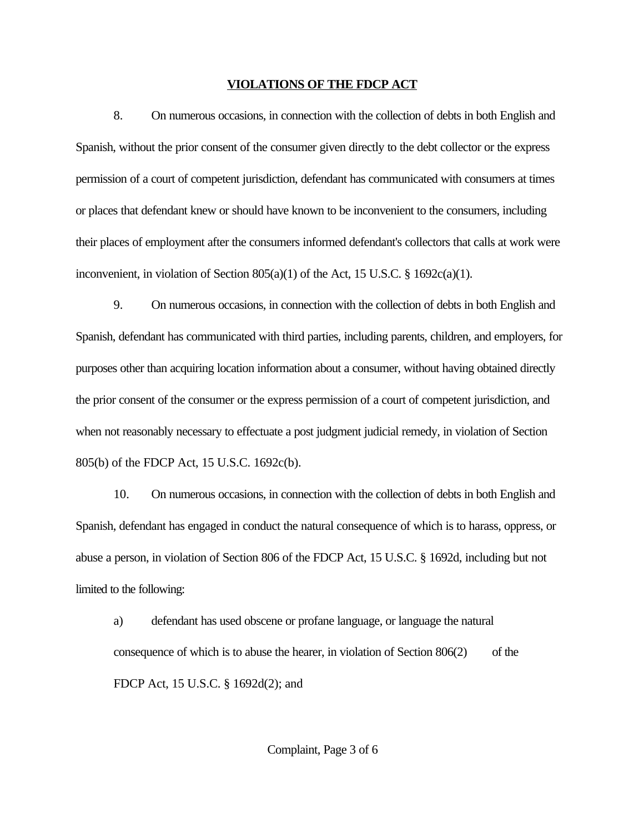#### **VIOLATIONS OF THE FDCP ACT**

8. On numerous occasions, in connection with the collection of debts in both English and Spanish, without the prior consent of the consumer given directly to the debt collector or the express permission of a court of competent jurisdiction, defendant has communicated with consumers at times or places that defendant knew or should have known to be inconvenient to the consumers, including their places of employment after the consumers informed defendant's collectors that calls at work were inconvenient, in violation of Section 805(a)(1) of the Act, 15 U.S.C. § 1692c(a)(1).

9. On numerous occasions, in connection with the collection of debts in both English and Spanish, defendant has communicated with third parties, including parents, children, and employers, for purposes other than acquiring location information about a consumer, without having obtained directly the prior consent of the consumer or the express permission of a court of competent jurisdiction, and when not reasonably necessary to effectuate a post judgment judicial remedy, in violation of Section 805(b) of the FDCP Act, 15 U.S.C. 1692c(b).

10. On numerous occasions, in connection with the collection of debts in both English and Spanish, defendant has engaged in conduct the natural consequence of which is to harass, oppress, or abuse a person, in violation of Section 806 of the FDCP Act, 15 U.S.C. § 1692d, including but not limited to the following:

a) defendant has used obscene or profane language, or language the natural consequence of which is to abuse the hearer, in violation of Section  $806(2)$  of the FDCP Act, 15 U.S.C. § 1692d(2); and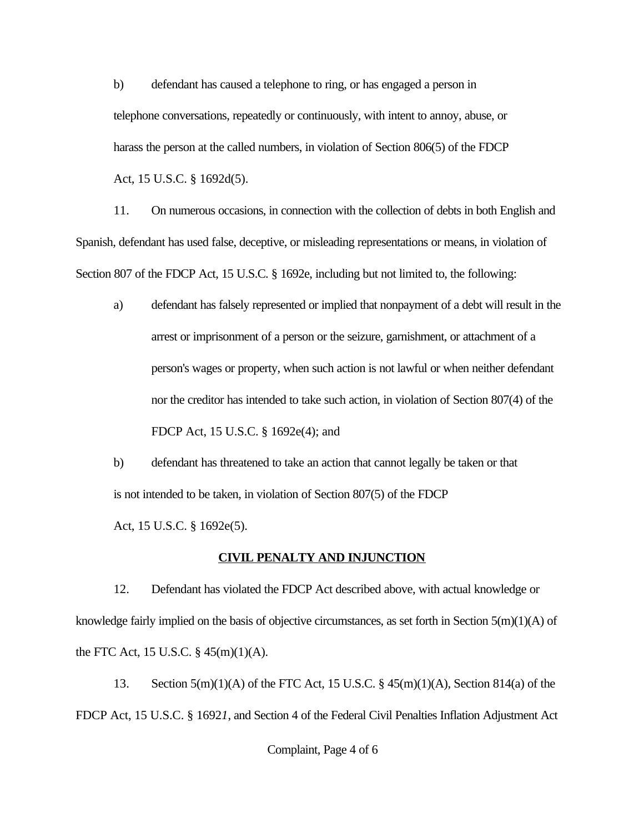b) defendant has caused a telephone to ring, or has engaged a person in telephone conversations, repeatedly or continuously, with intent to annoy, abuse, or harass the person at the called numbers, in violation of Section 806(5) of the FDCP Act, 15 U.S.C. § 1692d(5).

11. On numerous occasions, in connection with the collection of debts in both English and Spanish, defendant has used false, deceptive, or misleading representations or means, in violation of Section 807 of the FDCP Act, 15 U.S.C. § 1692e, including but not limited to, the following:

a) defendant has falsely represented or implied that nonpayment of a debt will result in the arrest or imprisonment of a person or the seizure, garnishment, or attachment of a person's wages or property, when such action is not lawful or when neither defendant nor the creditor has intended to take such action, in violation of Section 807(4) of the FDCP Act, 15 U.S.C. § 1692e(4); and

b) defendant has threatened to take an action that cannot legally be taken or that is not intended to be taken, in violation of Section 807(5) of the FDCP Act, 15 U.S.C. § 1692e(5).

### **CIVIL PENALTY AND INJUNCTION**

12. Defendant has violated the FDCP Act described above, with actual knowledge or knowledge fairly implied on the basis of objective circumstances, as set forth in Section 5(m)(1)(A) of the FTC Act, 15 U.S.C. § 45(m)(1)(A).

13. Section 5(m)(1)(A) of the FTC Act, 15 U.S.C. § 45(m)(1)(A), Section 814(a) of the FDCP Act, 15 U.S.C. § 1692*1*, and Section 4 of the Federal Civil Penalties Inflation Adjustment Act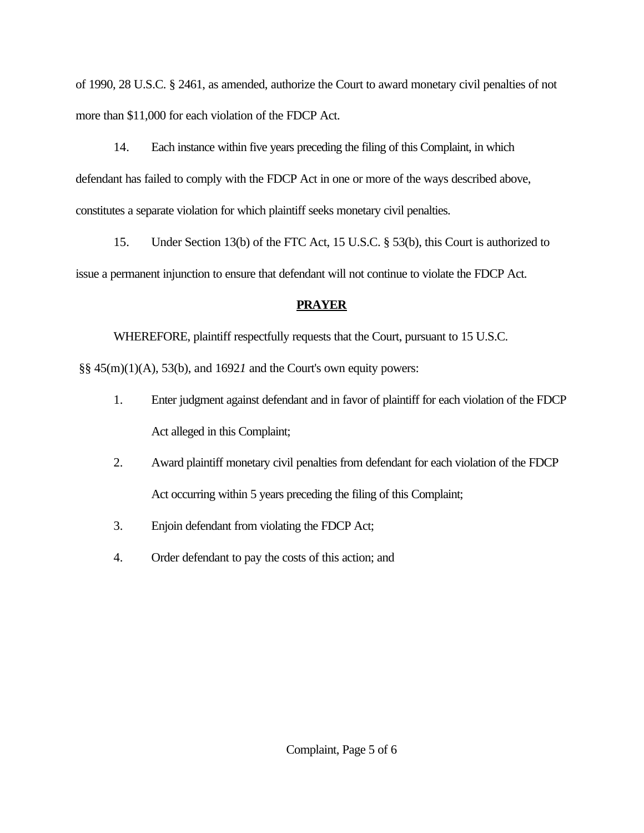of 1990, 28 U.S.C. § 2461, as amended, authorize the Court to award monetary civil penalties of not more than \$11,000 for each violation of the FDCP Act.

14. Each instance within five years preceding the filing of this Complaint, in which defendant has failed to comply with the FDCP Act in one or more of the ways described above, constitutes a separate violation for which plaintiff seeks monetary civil penalties.

15. Under Section 13(b) of the FTC Act, 15 U.S.C. § 53(b), this Court is authorized to issue a permanent injunction to ensure that defendant will not continue to violate the FDCP Act.

## **PRAYER**

WHEREFORE, plaintiff respectfully requests that the Court, pursuant to 15 U.S.C.

§§ 45(m)(1)(A), 53(b), and 1692*1* and the Court's own equity powers:

- 1. Enter judgment against defendant and in favor of plaintiff for each violation of the FDCP Act alleged in this Complaint;
- 2. Award plaintiff monetary civil penalties from defendant for each violation of the FDCP Act occurring within 5 years preceding the filing of this Complaint;
- 3. Enjoin defendant from violating the FDCP Act;
- 4. Order defendant to pay the costs of this action; and